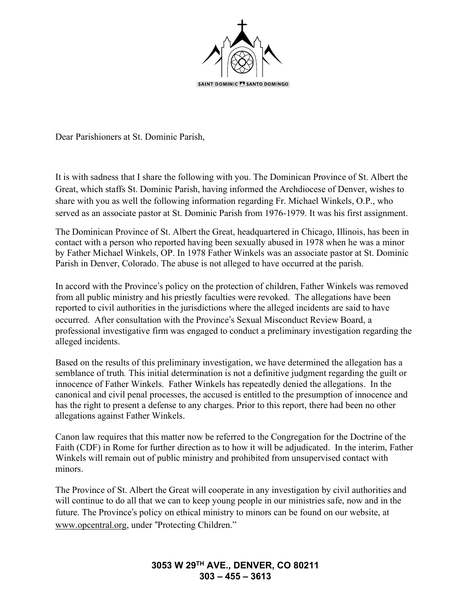

Dear Parishioners at St. Dominic Parish,

It is with sadness that I share the following with you. The Dominican Province of St. Albert the Great, which staffs St. Dominic Parish, having informed the Archdiocese of Denver, wishes to share with you as well the following information regarding Fr. Michael Winkels, O.P., who served as an associate pastor at St. Dominic Parish from 1976-1979. It was his first assignment.

The Dominican Province of St. Albert the Great, headquartered in Chicago, Illinois, has been in contact with a person who reported having been sexually abused in 1978 when he was a minor by Father Michael Winkels, OP. In 1978 Father Winkels was an associate pastor at St. Dominic Parish in Denver, Colorado. The abuse is not alleged to have occurred at the parish.

In accord with the Province's policy on the protection of children, Father Winkels was removed from all public ministry and his priestly faculties were revoked. The allegations have been reported to civil authorities in the jurisdictions where the alleged incidents are said to have occurred. After consultation with the Province's Sexual Misconduct Review Board, a professional investigative firm was engaged to conduct a preliminary investigation regarding the alleged incidents.

Based on the results of this preliminary investigation, we have determined the allegation has a semblance of truth*.* This initial determination is not a definitive judgment regarding the guilt or innocence of Father Winkels. Father Winkels has repeatedly denied the allegations. In the canonical and civil penal processes, the accused is entitled to the presumption of innocence and has the right to present a defense to any charges. Prior to this report, there had been no other allegations against Father Winkels.

Canon law requires that this matter now be referred to the Congregation for the Doctrine of the Faith (CDF) in Rome for further direction as to how it will be adjudicated. In the interim, Father Winkels will remain out of public ministry and prohibited from unsupervised contact with minors.

The Province of St. Albert the Great will cooperate in any investigation by civil authorities and will continue to do all that we can to keep young people in our ministries safe, now and in the future. The Province's policy on ethical ministry to minors can be found on our website, at www.opcentral.org, under "Protecting Children."

## **3053 W 29TH AVE., DENVER, CO 80211 303 – 455 – 3613**